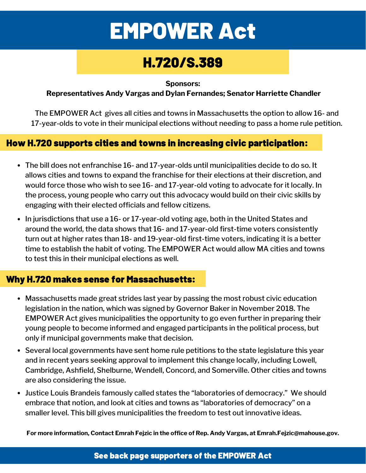# EMPOWER Act

## H.720/S.389

**Sponsors:**

**Representatives Andy Vargas and Dylan Fernandes; Senator Harriette Chandler**

The EMPOWER Act gives all cities and towns in Massachusetts the option to allow 16- and 17-year-olds to vote in their municipal elections without needing to pass a home rule petition.

#### How H.720 supports cities and towns in increasing civic participation:

- The bill does not enfranchise 16- and 17-year-olds until municipalities decide to do so. It allows cities and towns to expand the franchise for their elections at their discretion, and would force those who wish to see 16- and 17-year-old voting to advocate for it locally. In the process, young people who carry out this advocacy would build on their civic skills by engaging with their elected officials and fellow citizens.
- In jurisdictions that use a 16- or 17-year-old voting age, both in the United States and around the world, the data shows that 16- and 17-year-old first-time voters consistently turn out at higher rates than 18- and 19-year-old first-time voters, indicating it is a better time to establish the habit of voting. The EMPOWER Act would allow MA cities and towns to test this in their municipal elections as well.

#### Why H.720 makes sense for Massachusetts:

- Massachusetts made great strides last year by passing the most robust civic education legislation in the nation, which was signed by Governor Baker in November 2018. The EMPOWER Act gives municipalities the opportunity to go even further in preparing their young people to become informed and engaged participants in the political process, but only if municipal governments make that decision.
- Several local governments have sent home rule petitions to the state legislature this year and in recent years seeking approval to implement this change locally, including Lowell, Cambridge, Ashfield, Shelburne, Wendell, Concord, and Somerville. Other cities and towns are also considering the issue.
- Justice Louis Brandeis famously called states the "laboratories of democracy." We should embrace that notion, and look at cities and towns as "laboratories of democracy" on a smaller level. This bill gives municipalities the freedom to test out innovative ideas.

**For more information, Contact Emrah Fejzic in the office of Rep. Andy Vargas, at Emrah.Fejzic@mahouse.gov.**

See back page supporters of the EMPOWER Act